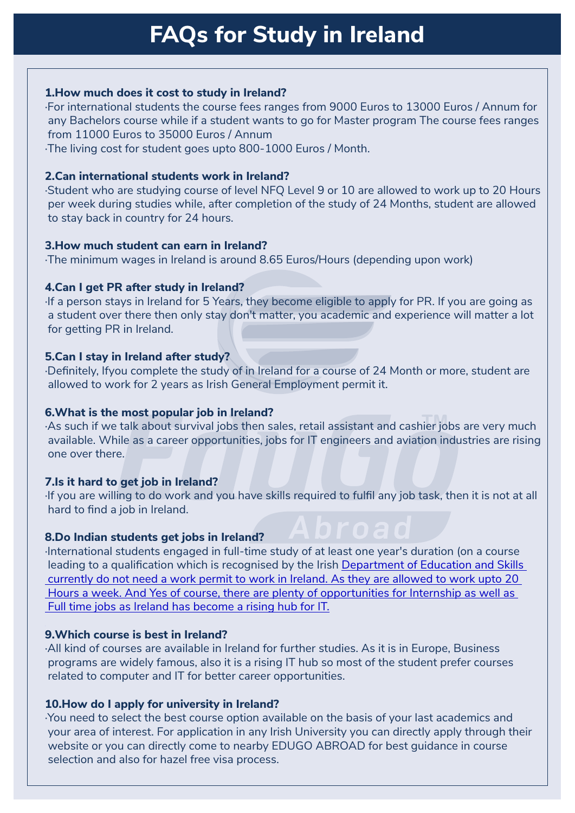### **1. How much does it cost to study in Ireland?**

·For international students the course fees ranges from 9000 Euros to 13000 Euros / Annum for any Bachelors course while if a student wants to go for Master program The course fees ranges from 11000 Euros to 35000 Euros / Annum

·The living cost for student goes upto 800-1000 Euros / Month.

## **2. Can international students work in Ireland?**

·Student who are studying course of level NFQ Level 9 or 10 are allowed to work up to 20 Hours per week during studies while, after completion of the study of 24 Months, student are allowed to stay back in country for 24 hours.

### **3. How much student can earn in Ireland?**

·The minimum wages in Ireland is around 8.65 Euros/Hours (depending upon work)

## **4. Can I get PR after study in Ireland?**

If a person stays in Ireland for 5 Years, they become eligible to apply for PR. If you are going as a student over there then only stay don't matter, you academic and experience will matter a lot for getting PR in Ireland.

## **5. Can I stay in Ireland after study?**

·Definitely, Ifyou complete the study of in Ireland for a course of 24 Month or more, student are allowed to work for 2 years as Irish General Employment permit it.

## **6. What is the most popular job in Ireland?**

**That is the most popular job in field in:**<br>As such if we talk about survival jobs then sales, retail assistant and cashier jobs are very much available. While as a career opportunities, jobs for IT engineers and aviation industries are rising one over there.

## **7. Is it hard to get job in Ireland?**

If you are willing to do work and you have skills required to fulfil any job task, then it is not at all hard to find a job in Ireland.

## **8. Do Indian students get jobs in Ireland?**

International students engaged in full-time study of at least one year's duration (on a course leading to a qualification which is recognised by the Irish [Department of Education and Skills](http://www.education.ie/)   [currently do not need a work permit to work in Ireland. As they are allowed to work upto 20](http://www.education.ie/)   [Hours a week. And Yes of course, there are plenty of opportunities for Internship as well as](http://www.education.ie/)   [Full time jobs as Ireland has become a rising hub for IT.](http://www.education.ie/)

## **9. Which course is best in Ireland?**

·All kind of courses are available in Ireland for further studies. As it is in Europe, Business programs are widely famous, also it is a rising IT hub so most of the student prefer courses related to computer and IT for better career opportunities.

## **10. How do I apply for university in Ireland?**

·You need to select the best course option available on the basis of your last academics and your area of interest. For application in any Irish University you can directly apply through their website or you can directly come to nearby EDUGO ABROAD for best guidance in course selection and also for hazel free visa process.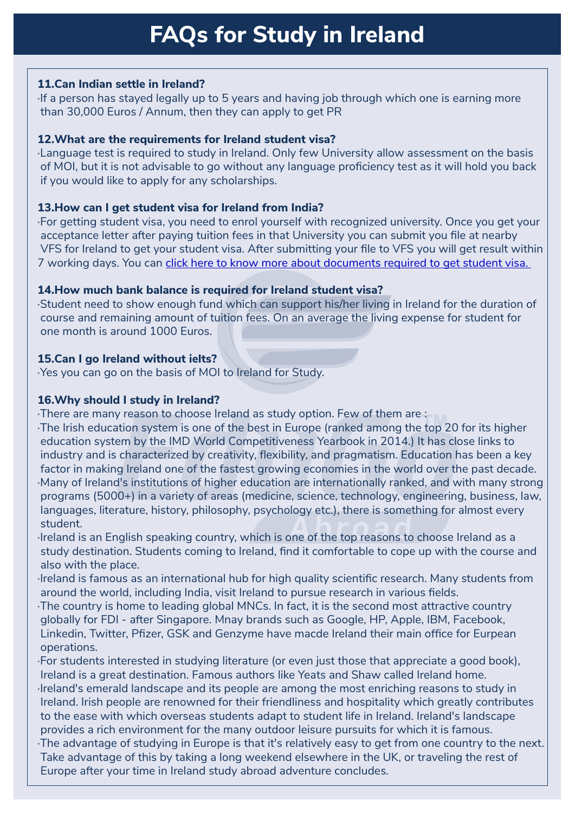# **11. Can Indian settle in Ireland?**

If a person has stayed legally up to 5 years and having job through which one is earning more than 30,000 Euros / Annum, then they can apply to get PR

## **12. What are the requirements for Ireland student visa?**

·Language test is required to study in Ireland. Only few University allow assessment on the basis of MOI, but it is not advisable to go without any language proficiency test as it will hold you back if you would like to apply for any scholarships.

# **13. How can I get student visa for Ireland from India?**

·For getting student visa, you need to enrol yourself with recognized university. Once you get your acceptance letter after paying tuition fees in that University you can submit you file at nearby VFS for Ireland to get your student visa. After submitting your file to VFS you will get result within 7 working days. You can [click here to know more about documents required to get student visa.](https://www.edugoabroad.com/vfs-checklist-for-ireland-visa/) 

# **14. How much bank balance is required for Ireland student visa?**

·Student need to show enough fund which can support his/her living in Ireland for the duration of course and remaining amount of tuition fees. On an average the living expense for student for one month is around 1000 Euros.

# **15. Can I go Ireland without ielts?**

·Yes you can go on the basis of MOI to Ireland for Study.

# **16. Why should I study in Ireland?**

·There are many reason to choose Ireland as study option. Few of them are :

· There are many reason to choose ireland as study option. Few or them are .<br>·The Irish education system is one of the best in Europe (ranked among the top 20 for its higher education system by the IMD World Competitiveness Yearbook in 2014.) It has close links to industry and is characterized by creativity, flexibility, and pragmatism. Education has been a key factor in making Ireland one of the fastest growing economies in the world over the past decade. · Many of Ireland's institutions of higher education are internationally ranked, and with many strong programs (5000+) in a variety of areas (medicine, science, technology, engineering, business, law, languages, literature, history, philosophy, psychology etc.), there is something for almost every student.

· Ireland is an English speaking country, which is one of the top reasons to choose Ireland as a study destination. Students coming to Ireland, find it comfortable to cope up with the course and also with the place.

· Ireland is famous as an international hub for high quality scientific research. Many students from around the world, including India, visit Ireland to pursue research in various fields.

· The country is home to leading global MNCs. In fact, it is the second most attractive country globally for FDI - after Singapore. Mnay brands such as Google, HP, Apple, IBM, Facebook, Linkedin, Twitter, Pfizer, GSK and Genzyme have macde Ireland their main office for Eurpean operations.

· For students interested in studying literature (or even just those that appreciate a good book), Ireland is a great destination. Famous authors like Yeats and Shaw called Ireland home. · Ireland's emerald landscape and its people are among the most enriching reasons to study in Ireland. Irish people are renowned for their friendliness and hospitality which greatly contributes to the ease with which overseas students adapt to student life in Ireland. Ireland's landscape provides a rich environment for the many outdoor leisure pursuits for which it is famous. · The advantage of studying in Europe is that it's relatively easy to get from one country to the next. Take advantage of this by taking a long weekend elsewhere in the UK, or traveling the rest of Europe after your time in Ireland study abroad adventure concludes.